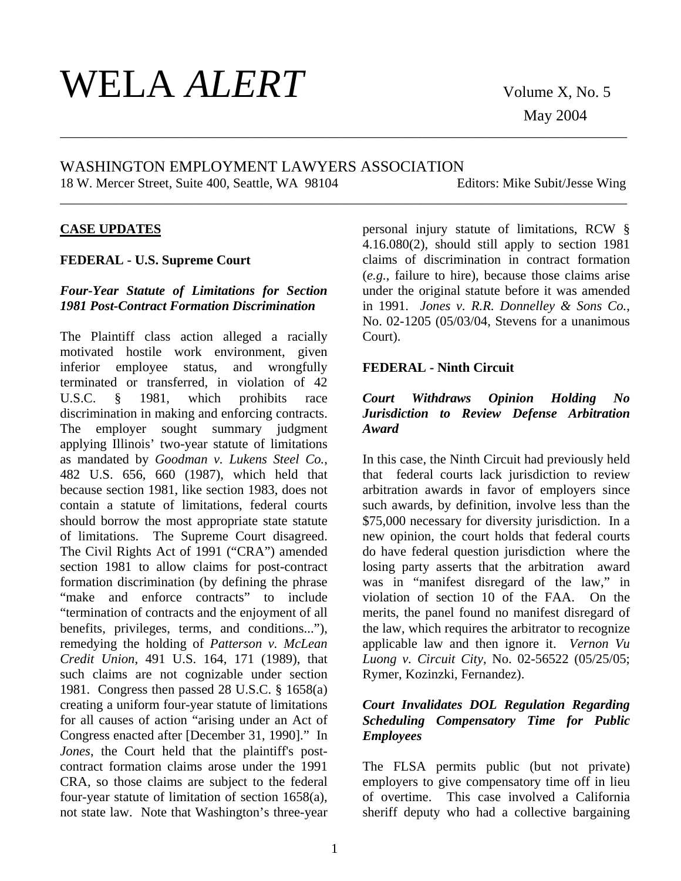# $\text{WELA} \text{ALERT}$  volume X, No. 5

May 2004

# WASHINGTON EMPLOYMENT LAWYERS ASSOCIATION 18 W. Mercer Street, Suite 400, Seattle, WA 98104 Editors: Mike Subit/Jesse Wing

\_\_\_\_\_\_\_\_\_\_\_\_\_\_\_\_\_\_\_\_\_\_\_\_\_\_\_\_\_\_\_\_\_\_\_\_\_\_\_\_\_\_\_\_\_\_\_\_\_\_\_\_\_\_\_\_\_\_\_\_\_\_\_\_\_\_\_\_\_\_\_\_\_\_\_\_\_\_\_\_\_\_\_\_\_

\_\_\_\_\_\_\_\_\_\_\_\_\_\_\_\_\_\_\_\_\_\_\_\_\_\_\_\_\_\_\_\_\_\_\_\_\_\_\_\_\_\_\_\_\_\_\_\_\_\_\_\_\_\_\_\_\_\_\_\_\_\_\_\_\_\_\_\_\_\_\_\_\_\_\_\_\_\_\_\_\_\_\_\_\_

## **CASE UPDATES**

#### **FEDERAL - U.S. Supreme Court**

### *Four-Year Statute of Limitations for Section 1981 Post-Contract Formation Discrimination*

The Plaintiff class action alleged a racially motivated hostile work environment, given inferior employee status, and wrongfully terminated or transferred, in violation of 42 U.S.C. § 1981, which prohibits race discrimination in making and enforcing contracts. The employer sought summary judgment applying Illinois' two-year statute of limitations as mandated by *Goodman v. Lukens Steel Co.*, 482 U.S. 656, 660 (1987), which held that because section 1981, like section 1983, does not contain a statute of limitations, federal courts should borrow the most appropriate state statute of limitations. The Supreme Court disagreed. The Civil Rights Act of 1991 ("CRA") amended section 1981 to allow claims for post-contract formation discrimination (by defining the phrase "make and enforce contracts" to include "termination of contracts and the enjoyment of all benefits, privileges, terms, and conditions..."), remedying the holding of *Patterson v. McLean Credit Union*, 491 U.S. 164, 171 (1989), that such claims are not cognizable under section 1981. Congress then passed 28 U.S.C. § 1658(a) creating a uniform four-year statute of limitations for all causes of action "arising under an Act of Congress enacted after [December 31, 1990]." In *Jones*, the Court held that the plaintiff's postcontract formation claims arose under the 1991 CRA, so those claims are subject to the federal four-year statute of limitation of section 1658(a), not state law. Note that Washington's three-year

personal injury statute of limitations, RCW §  $4.16.080(2)$ , should still apply to section 1981 claims of discrimination in contract formation (*e.g.*, failure to hire), because those claims arise under the original statute before it was amended in 1991. *Jones v. R.R. Donnelley & Sons Co.*, No. 02-1205 (05/03/04, Stevens for a unanimous Court).

#### **FEDERAL - Ninth Circuit**

## *Court Withdraws Opinion Holding No Jurisdiction to Review Defense Arbitration Award*

In this case, the Ninth Circuit had previously held that federal courts lack jurisdiction to review arbitration awards in favor of employers since such awards, by definition, involve less than the \$75,000 necessary for diversity jurisdiction. In a new opinion, the court holds that federal courts do have federal question jurisdiction where the losing party asserts that the arbitration award was in "manifest disregard of the law," in violation of section 10 of the FAA. On the merits, the panel found no manifest disregard of the law, which requires the arbitrator to recognize applicable law and then ignore it. *Vernon Vu Luong v. Circuit City*, No. 02-56522 (05/25/05; Rymer, Kozinzki, Fernandez).

## *Court Invalidates DOL Regulation Regarding Scheduling Compensatory Time for Public Employees*

The FLSA permits public (but not private) employers to give compensatory time off in lieu of overtime. This case involved a California sheriff deputy who had a collective bargaining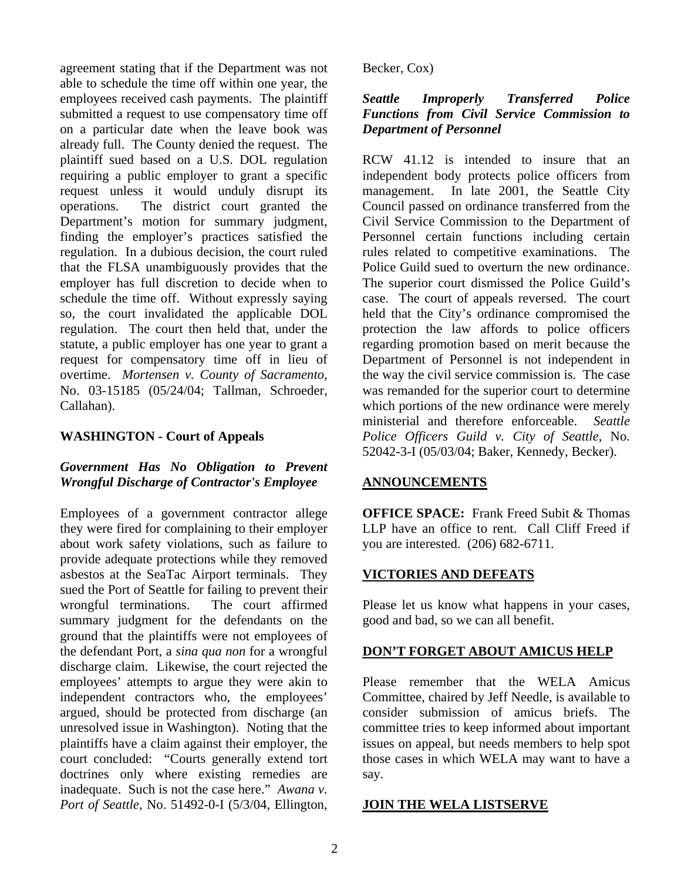agreement stating that if the Department was not able to schedule the time off within one year, the employees received cash payments. The plaintiff submitted a request to use compensatory time off on a particular date when the leave book was already full. The County denied the request. The plaintiff sued based on a U.S. DOL regulation requiring a public employer to grant a specific request unless it would unduly disrupt its operations. The district court granted the Department's motion for summary judgment, finding the employer's practices satisfied the regulation. In a dubious decision, the court ruled that the FLSA unambiguously provides that the employer has full discretion to decide when to schedule the time off. Without expressly saying so, the court invalidated the applicable DOL regulation. The court then held that, under the statute, a public employer has one year to grant a request for compensatory time off in lieu of overtime. *Mortensen v. County of Sacramento*, No. 03-15185 (05/24/04; Tallman, Schroeder, Callahan).

## **WASHINGTON - Court of Appeals**

# *Government Has No Obligation to Prevent Wrongful Discharge of Contractor's Employee*

Employees of a government contractor allege they were fired for complaining to their employer about work safety violations, such as failure to provide adequate protections while they removed asbestos at the SeaTac Airport terminals. They sued the Port of Seattle for failing to prevent their wrongful terminations. The court affirmed summary judgment for the defendants on the ground that the plaintiffs were not employees of the defendant Port, a *sina qua non* for a wrongful discharge claim. Likewise, the court rejected the employees' attempts to argue they were akin to independent contractors who, the employees' argued, should be protected from discharge (an unresolved issue in Washington). Noting that the plaintiffs have a claim against their employer, the court concluded: "Courts generally extend tort doctrines only where existing remedies are inadequate. Such is not the case here." *Awana v. Port of Seattle*, No. 51492-0-I (5/3/04, Ellington,

Becker, Cox)

# *Seattle Improperly Transferred Police Functions from Civil Service Commission to Department of Personnel*

RCW 41.12 is intended to insure that an independent body protects police officers from management. In late 2001, the Seattle City Council passed on ordinance transferred from the Civil Service Commission to the Department of Personnel certain functions including certain rules related to competitive examinations. The Police Guild sued to overturn the new ordinance. The superior court dismissed the Police Guild's case. The court of appeals reversed. The court held that the City's ordinance compromised the protection the law affords to police officers regarding promotion based on merit because the Department of Personnel is not independent in the way the civil service commission is. The case was remanded for the superior court to determine which portions of the new ordinance were merely ministerial and therefore enforceable. *Seattle Police Officers Guild v. City of Seattle*, No. 52042-3-I (05/03/04; Baker, Kennedy, Becker).

# **ANNOUNCEMENTS**

**OFFICE SPACE:** Frank Freed Subit & Thomas LLP have an office to rent. Call Cliff Freed if you are interested. (206) 682-6711.

# **VICTORIES AND DEFEATS**

Please let us know what happens in your cases, good and bad, so we can all benefit.

# **DON'T FORGET ABOUT AMICUS HELP**

Please remember that the WELA Amicus Committee, chaired by Jeff Needle, is available to consider submission of amicus briefs. The committee tries to keep informed about important issues on appeal, but needs members to help spot those cases in which WELA may want to have a say.

# **JOIN THE WELA LISTSERVE**